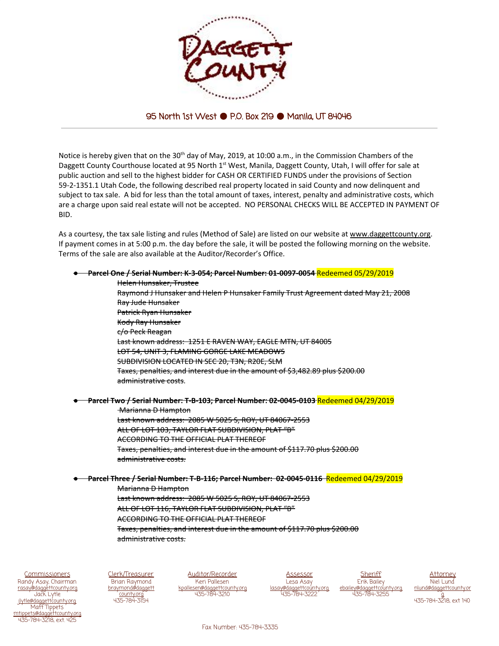

## 95 North 1st West ● P.O. Box 219 ● Manila, UT 84046

Notice is hereby given that on the 30<sup>th</sup> day of May, 2019, at 10:00 a.m., in the Commission Chambers of the Daggett County Courthouse located at 95 North 1<sup>st</sup> West, Manila, Daggett County, Utah, I will offer for sale at public auction and sell to the highest bidder for CASH OR CERTIFIED FUNDS under the provisions of Section 59-2-1351.1 Utah Code, the following described real property located in said County and now delinquent and subject to tax sale. A bid for less than the total amount of taxes, interest, penalty and administrative costs, which are a charge upon said real estate will not be accepted. NO PERSONAL CHECKS WILL BE ACCEPTED IN PAYMENT OF BID.

As a courtesy, the tax sale listing and rules (Method of Sale) are listed on our website at [www.daggettcounty.org.](http://www.daggettcounty.org/) If payment comes in at 5:00 p.m. the day before the sale, it will be posted the following morning on the website. Terms of the sale are also available at the Auditor/Recorder's Office.



**Commissioners** Randy Asay, Chairman [rasay@daggettcounty.org](mailto:rasay@daggettcounty.org) Jack Lytle @daggettcounty.org Matt Tippets <u>ippets@daggettcount</u> 435-784-3218, ext. 425

Clerk/Treasurer Brian Raymond [braymond@daggett](mailto:braymond@daggettcounty.org) [county.org](mailto:braymond@daggettcounty.org) 435-784-3154

Auditor/Recorder Keri Pallesen esen@daggettcounty.org 435-784-3210

Assessor Lesa Asay .av@daggettcoun 435-784-3222

**Sheriff** Erik Bailey ey@daggettcounty.org 435-784-3255

**Attorney** Niel Lund und@daggettcounty.or [g](mailto:nlund@daggettcounty.org) 435-784-3218, ext 140